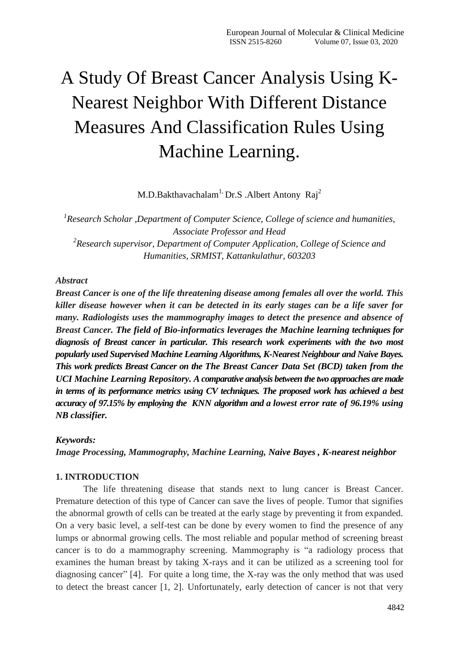# A Study Of Breast Cancer Analysis Using K-Nearest Neighbor With Different Distance Measures And Classification Rules Using Machine Learning.

 $M.D.Bakthavachalam<sup>1</sup>, Dr.S. Albert Antony  $Rai^2$$ 

*1 Research Scholar ,Department of Computer Science, College of science and humanities, Associate Professor and Head 2 Research supervisor, Department of Computer Application, College of Science and Humanities, SRMIST, Kattankulathur, 603203*

### *Abstract*

*Breast Cancer is one of the life threatening disease among females all over the world. This killer disease however when it can be detected in its early stages can be a life saver for many. Radiologists uses the mammography images to detect the presence and absence of Breast Cancer. The field of Bio-informatics leverages the Machine learning techniques for diagnosis of Breast cancer in particular. This research work experiments with the two most popularly used Supervised Machine Learning Algorithms, K-Nearest Neighbour and Naive Bayes. This work predicts Breast Cancer on the The Breast Cancer Data Set (BCD) taken from the UCI Machine Learning Repository. A comparative analysis between the two approaches are made in terms of its performance metrics using CV techniques. The proposed work has achieved a best accuracy of 97.15% by employing the KNN algorithm and a lowest error rate of 96.19% using NB classifier.*

### *Keywords:*

*Image Processing, Mammography, Machine Learning, Naive Bayes , K-nearest neighbor*

### **1. INTRODUCTION**

The life threatening disease that stands next to lung cancer is Breast Cancer. Premature detection of this type of Cancer can save the lives of people. Tumor that signifies the abnormal growth of cells can be treated at the early stage by preventing it from expanded. On a very basic level, a self-test can be done by every women to find the presence of any lumps or abnormal growing cells. The most reliable and popular method of screening breast cancer is to do a mammography screening. Mammography is "a radiology process that examines the human breast by taking X-rays and it can be utilized as a screening tool for diagnosing cancer" [4]. For quite a long time, the X-ray was the only method that was used to detect the breast cancer [1, 2]. Unfortunately, early detection of cancer is not that very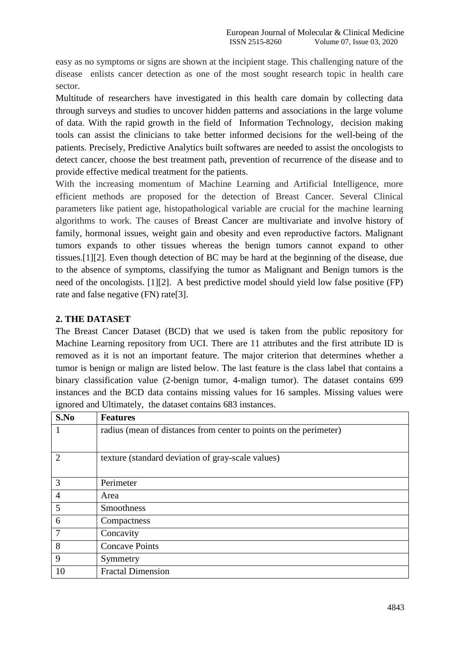easy as no symptoms or signs are shown at the incipient stage. This challenging nature of the disease enlists cancer detection as one of the most sought research topic in health care sector.

Multitude of researchers have investigated in this health care domain by collecting data through surveys and studies to uncover hidden patterns and associations in the large volume of data. With the rapid growth in the field of Information Technology, decision making tools can assist the clinicians to take better informed decisions for the well-being of the patients. Precisely, Predictive Analytics built softwares are needed to assist the oncologists to detect cancer, choose the best treatment path, prevention of recurrence of the disease and to provide effective medical treatment for the patients.

With the increasing momentum of Machine Learning and Artificial Intelligence, more efficient methods are proposed for the detection of Breast Cancer. Several Clinical parameters like patient age, histopathological variable are crucial for the machine learning algorithms to work. The causes of Breast Cancer are multivariate and involve history of family, hormonal issues, weight gain and obesity and even reproductive factors. Malignant tumors expands to other tissues whereas the benign tumors cannot expand to other tissues.[1][2]. Even though detection of BC may be hard at the beginning of the disease, due to the absence of symptoms, classifying the tumor as Malignant and Benign tumors is the need of the oncologists. [1][2]. A best predictive model should yield low false positive (FP) rate and false negative (FN) rate[3].

# **2. THE DATASET**

The Breast Cancer Dataset (BCD) that we used is taken from the public repository for Machine Learning repository from UCI. There are 11 attributes and the first attribute ID is removed as it is not an important feature. The major criterion that determines whether a tumor is benign or malign are listed below. The last feature is the class label that contains a binary classification value (2-benign tumor, 4-malign tumor). The dataset contains 699 instances and the BCD data contains missing values for 16 samples. Missing values were ignored and Ultimately, the dataset contains 683 instances.

| S.No           | <b>Features</b>                                                   |  |  |  |
|----------------|-------------------------------------------------------------------|--|--|--|
| 1              | radius (mean of distances from center to points on the perimeter) |  |  |  |
|                |                                                                   |  |  |  |
| $\overline{2}$ | texture (standard deviation of gray-scale values)                 |  |  |  |
| 3              | Perimeter                                                         |  |  |  |
| $\overline{4}$ | Area                                                              |  |  |  |
| 5              | <b>Smoothness</b>                                                 |  |  |  |
| 6              | Compactness                                                       |  |  |  |
| 7              | Concavity                                                         |  |  |  |
| 8              | <b>Concave Points</b>                                             |  |  |  |
| 9              | Symmetry                                                          |  |  |  |
| 10             | <b>Fractal Dimension</b>                                          |  |  |  |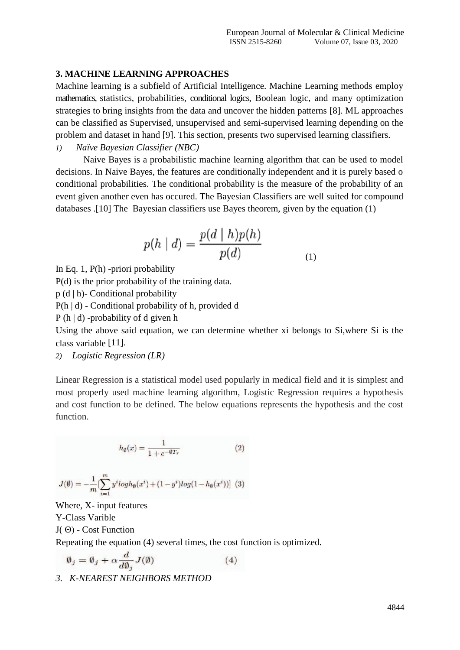### **3. MACHINE LEARNING APPROACHES**

Machine learning is a subfield of Artificial Intelligence. Machine Learning methods employ mathematics, statistics, probabilities, conditional logics, Boolean logic, and many optimization strategies to bring insights from the data and uncover the hidden patterns [8]. ML approaches can be classified as Supervised, unsupervised and semi-supervised learning depending on the problem and dataset in hand [9]. This section, presents two supervised learning classifiers.

*1) Naïve Bayesian Classifier (NBC)*

Naive Bayes is a probabilistic machine learning algorithm that can be used to model decisions. In Naive Bayes, the features are conditionally independent and it is purely based o conditional probabilities. The conditional probability is the measure of the probability of an event given another even has occured. The Bayesian Classifiers are well suited for compound databases .[10] The Bayesian classifiers use Bayes theorem, given by the equation (1)

$$
p(h | d) = \frac{p(d | h)p(h)}{p(d)} \tag{1}
$$

In Eq. 1, P(h) -priori probability

P(d) is the prior probability of the training data.

p (d | h)- Conditional probability

P(h | d) - Conditional probability of h, provided d

P (h | d) -probability of d given h

Using the above said equation, we can determine whether xi belongs to Si,where Si is the class variable [11].

*2) Logistic Regression (LR)*

Linear Regression is a statistical model used popularly in medical field and it is simplest and most properly used machine learning algorithm, Logistic Regression requires a hypothesis and cost function to be defined. The below equations represents the hypothesis and the cost function.

$$
h_{\emptyset}(x) = \frac{1}{1 + e^{-\emptyset T_x}} \tag{2}
$$

$$
J(\emptyset)=-\frac{1}{m}[\sum_{i=1}^{m}y^{i}logh_{\emptyset}(x^{i})+(1-y^{i})log(1-h_{\emptyset}(x^{i}))]
$$
(3)

Where, X- input features Y-Class Varible J( Θ) - Cost Function Repeating the equation (4) several times, the cost function is optimized.

$$
\emptyset_j = \emptyset_j + \alpha \frac{d}{d\emptyset_j} J(\emptyset) \tag{4}
$$

*3. K-NEAREST NEIGHBORS METHOD*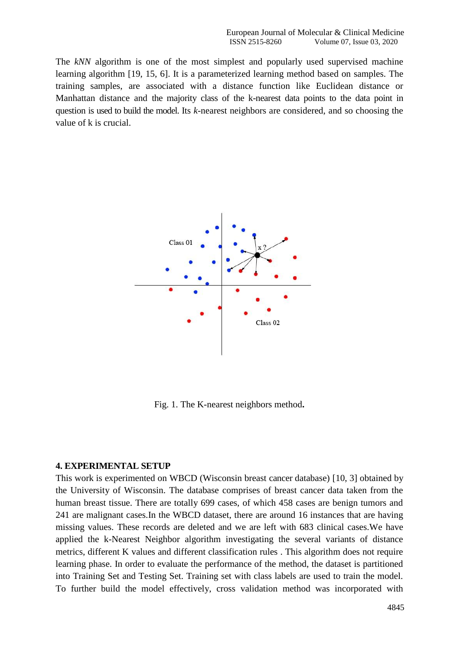The *kNN* algorithm is one of the most simplest and popularly used supervised machine learning algorithm [19, 15, 6]. It is a parameterized learning method based on samples. The training samples, are associated with a distance function like Euclidean distance or Manhattan distance and the majority class of the k-nearest data points to the data point in question is used to build the model. Its *k*-nearest neighbors are considered, and so choosing the value of k is crucial.



Fig. 1. The K-nearest neighbors method**.**

#### **4. EXPERIMENTAL SETUP**

This work is experimented on WBCD (Wisconsin breast cancer database) [10, 3] obtained by the University of Wisconsin. The database comprises of breast cancer data taken from the human breast tissue. There are totally 699 cases, of which 458 cases are benign tumors and 241 are malignant cases.In the WBCD dataset, there are around 16 instances that are having missing values. These records are deleted and we are left with 683 clinical cases.We have applied the k-Nearest Neighbor algorithm investigating the several variants of distance metrics, different K values and different classification rules . This algorithm does not require learning phase. In order to evaluate the performance of the method, the dataset is partitioned into Training Set and Testing Set. Training set with class labels are used to train the model. To further build the model effectively, cross validation method was incorporated with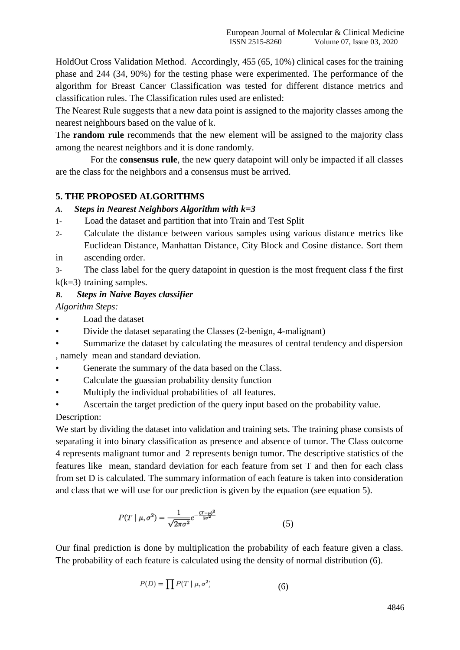HoldOut Cross Validation Method. Accordingly, 455 (65*,* 10%) clinical cases for the training phase and 244 (34*,* 90%) for the testing phase were experimented. The performance of the algorithm for Breast Cancer Classification was tested for different distance metrics and classification rules. The Classification rules used are enlisted:

The Nearest Rule suggests that a new data point is assigned to the majority classes among the nearest neighbours based on the value of k.

The **random rule** recommends that the new element will be assigned to the majority class among the nearest neighbors and it is done randomly.

For the **consensus rule**, the new query datapoint will only be impacted if all classes are the class for the neighbors and a consensus must be arrived.

## **5. THE PROPOSED ALGORITHMS**

#### *A. Steps in Nearest Neighbors Algorithm with k=3*

- 1- Load the dataset and partition that into Train and Test Split
- 2- Calculate the distance between various samples using various distance metrics like Euclidean Distance, Manhattan Distance, City Block and Cosine distance. Sort them
- in ascending order.

3- The class label for the query datapoint in question is the most frequent class f the first  $k(k=3)$  training samples.

### *B. Steps in Naive Bayes classifier*

*Algorithm Steps:*

- Load the dataset
- Divide the dataset separating the Classes (2-benign, 4-malignant)
- Summarize the dataset by calculating the measures of central tendency and dispersion , namely mean and standard deviation.
- Generate the summary of the data based on the Class.
- Calculate the guassian probability density function
- Multiply the individual probabilities of all features.
- Ascertain the target prediction of the query input based on the probability value.

## Description:

We start by dividing the dataset into validation and training sets. The training phase consists of separating it into binary classification as presence and absence of tumor. The Class outcome 4 represents malignant tumor and 2 represents benign tumor. The descriptive statistics of the features like mean, standard deviation for each feature from set T and then for each class from set D is calculated. The summary information of each feature is taken into consideration and class that we will use for our prediction is given by the equation (see equation 5).

$$
P(T \mid \mu, \sigma^2) = \frac{1}{\sqrt{2\pi\sigma^2}} e^{-\frac{(T-\mu)^2}{2\sigma^2}} \tag{5}
$$

Our final prediction is done by multiplication the probability of each feature given a class. The probability of each feature is calculated using the density of normal distribution (6).

$$
P(D) = \prod P(T \mid \mu, \sigma^2) \tag{6}
$$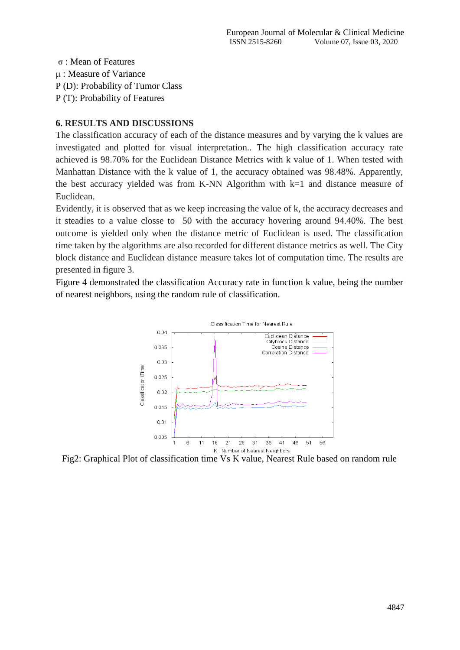**σ** : Mean of Features μ : Measure of Variance P (D): Probability of Tumor Class P (T): Probability of Features

# **6. RESULTS AND DISCUSSIONS**

The classification accuracy of each of the distance measures and by varying the k values are investigated and plotted for visual interpretation.. The high classification accuracy rate achieved is 98.70% for the Euclidean Distance Metrics with k value of 1. When tested with Manhattan Distance with the k value of 1, the accuracy obtained was 98.48%. Apparently, the best accuracy yielded was from K-NN Algorithm with k=1 and distance measure of Euclidean.

Evidently, it is observed that as we keep increasing the value of k, the accuracy decreases and it steadies to a value closse to 50 with the accuracy hovering around 94.40%. The best outcome is yielded only when the distance metric of Euclidean is used. The classification time taken by the algorithms are also recorded for different distance metrics as well. The City block distance and Euclidean distance measure takes lot of computation time. The results are presented in figure 3.

Figure 4 demonstrated the classification Accuracy rate in function k value, being the number of nearest neighbors, using the random rule of classification.



Fig2: Graphical Plot of classification time Vs K value, Nearest Rule based on random rule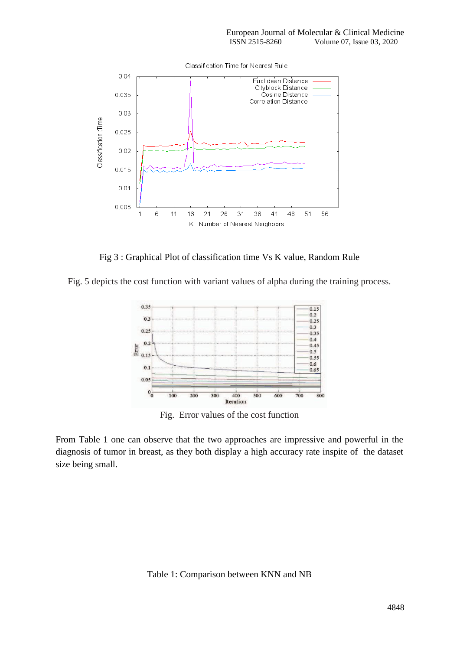

Fig 3 : Graphical Plot of classification time Vs K value, Random Rule

Fig. 5 depicts the cost function with variant values of alpha during the training process.



Fig. Error values of the cost function

From Table 1 one can observe that the two approaches are impressive and powerful in the diagnosis of tumor in breast, as they both display a high accuracy rate inspite of the dataset size being small.

Table 1: Comparison between KNN and NB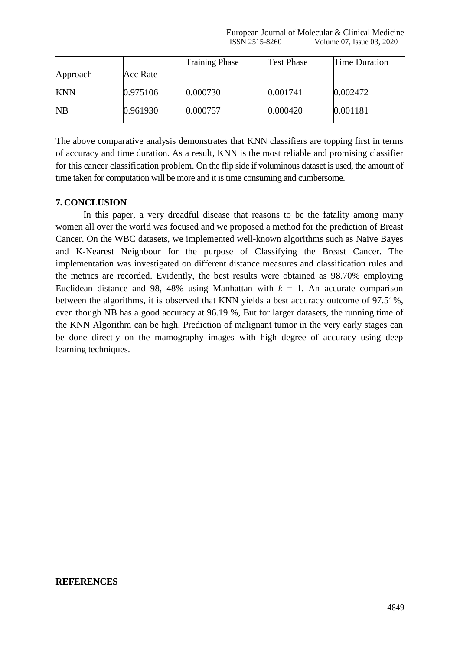European Journal of Molecular & Clinical Medicine ISSN 2515-8260 Volume 07, Issue 03, 2020

|            |          | <b>Training Phase</b> | Test Phase | Time Duration |
|------------|----------|-----------------------|------------|---------------|
| Approach   | Acc Rate |                       |            |               |
| <b>KNN</b> | 0.975106 | 0.000730              | 0.001741   | 0.002472      |
| <b>NB</b>  | 0.961930 | 0.000757              | 0.000420   | 0.001181      |

The above comparative analysis demonstrates that KNN classifiers are topping first in terms of accuracy and time duration. As a result, KNN is the most reliable and promising classifier for this cancer classification problem. On the flip side if voluminous dataset is used, the amount of time taken for computation will be more and it is time consuming and cumbersome.

## **7. CONCLUSION**

In this paper, a very dreadful disease that reasons to be the fatality among many women all over the world was focused and we proposed a method for the prediction of Breast Cancer. On the WBC datasets, we implemented well-known algorithms such as Naive Bayes and K-Nearest Neighbour for the purpose of Classifying the Breast Cancer. The implementation was investigated on different distance measures and classification rules and the metrics are recorded. Evidently, the best results were obtained as 98.70% employing Euclidean distance and 98, 48% using Manhattan with  $k = 1$ . An accurate comparison between the algorithms, it is observed that KNN yields a best accuracy outcome of 97.51%, even though NB has a good accuracy at 96.19 %, But for larger datasets, the running time of the KNN Algorithm can be high. Prediction of malignant tumor in the very early stages can be done directly on the mamography images with high degree of accuracy using deep learning techniques.

#### **REFERENCES**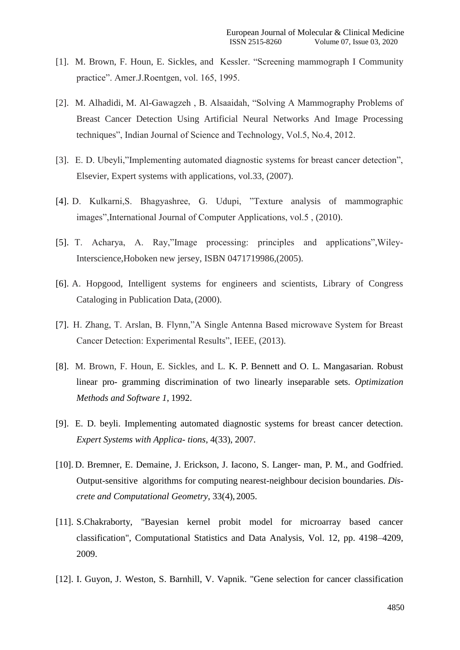- [1]. M. Brown, F. Houn, E. Sickles, and Kessler. "Screening mammograph I Community practice". Amer.J.Roentgen, vol. 165, 1995.
- [2]. M. Alhadidi, M. Al-Gawagzeh , B. Alsaaidah, "Solving A Mammography Problems of Breast Cancer Detection Using Artificial Neural Networks And Image Processing techniques", Indian Journal of Science and Technology, Vol.5, No.4, 2012.
- [3]. E. D. Ubeyli,"Implementing automated diagnostic systems for breast cancer detection", Elsevier, Expert systems with applications, vol.33, (2007).
- [4]. D. Kulkarni,S. Bhagyashree, G. Udupi, "Texture analysis of mammographic images",International Journal of Computer Applications, vol.5 , (2010).
- [5]. T. Acharya, A. Ray,"Image processing: principles and applications",Wiley-Interscience,Hoboken new jersey, ISBN 0471719986,(2005).
- [6]. A. Hopgood, Intelligent systems for engineers and scientists, Library of Congress Cataloging in Publication Data, (2000).
- [7]. H. Zhang, T. Arslan, B. Flynn,"A Single Antenna Based microwave System for Breast Cancer Detection: Experimental Results", IEEE, (2013).
- [8]. M. Brown, F. Houn, E. Sickles, and L. K. P. Bennett and O. L. Mangasarian. Robust linear pro- gramming discrimination of two linearly inseparable sets. *Optimization Methods and Software 1*, 1992.
- [9]. E. D. beyli. Implementing automated diagnostic systems for breast cancer detection. *Expert Systems with Applica- tions*, 4(33), 2007.
- [10]. D. Bremner, E. Demaine, J. Erickson, J. Iacono, S. Langer- man, P. M., and Godfried. Output-sensitive algorithms for computing nearest-neighbour decision boundaries. *Discrete and Computational Geometry*, 33(4), 2005.
- [11]. S.Chakraborty, "Bayesian kernel probit model for microarray based cancer classification", Computational Statistics and Data Analysis, Vol. 12, pp. 4198–4209, 2009.
- [12]. I. Guyon, J. Weston, S. Barnhill, V. Vapnik. "Gene selection for cancer classification